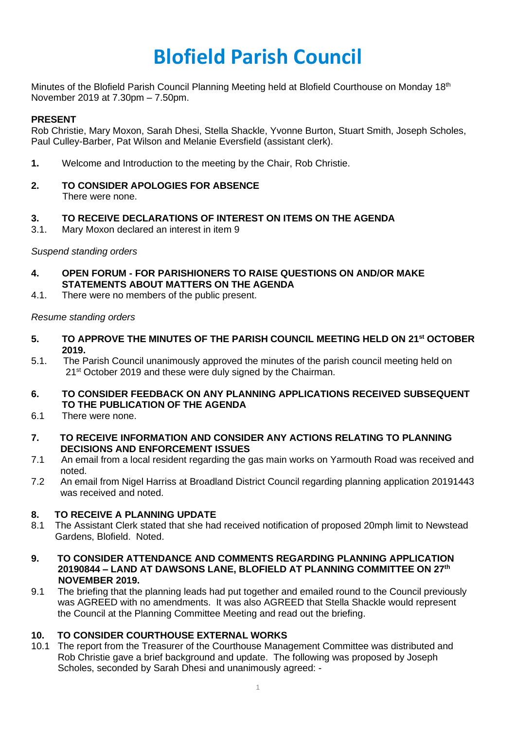# **Blofield Parish Council**

Minutes of the Blofield Parish Council Planning Meeting held at Blofield Courthouse on Monday 18<sup>th</sup> November 2019 at 7.30pm – 7.50pm.

### **PRESENT**

Rob Christie, Mary Moxon, Sarah Dhesi, Stella Shackle, Yvonne Burton, Stuart Smith, Joseph Scholes, Paul Culley-Barber, Pat Wilson and Melanie Eversfield (assistant clerk).

- **1.** Welcome and Introduction to the meeting by the Chair, Rob Christie.
- **2. TO CONSIDER APOLOGIES FOR ABSENCE** There were none.

#### **3. TO RECEIVE DECLARATIONS OF INTEREST ON ITEMS ON THE AGENDA**

3.1. Mary Moxon declared an interest in item 9

*Suspend standing orders*

- **4. OPEN FORUM - FOR PARISHIONERS TO RAISE QUESTIONS ON AND/OR MAKE STATEMENTS ABOUT MATTERS ON THE AGENDA**
- 4.1. There were no members of the public present.

#### *Resume standing orders*

- **5. TO APPROVE THE MINUTES OF THE PARISH COUNCIL MEETING HELD ON 21st OCTOBER 2019.**
- 5.1. The Parish Council unanimously approved the minutes of the parish council meeting held on 21<sup>st</sup> October 2019 and these were duly signed by the Chairman.
- **6. TO CONSIDER FEEDBACK ON ANY PLANNING APPLICATIONS RECEIVED SUBSEQUENT TO THE PUBLICATION OF THE AGENDA**
- 6.1 There were none.
- **7. TO RECEIVE INFORMATION AND CONSIDER ANY ACTIONS RELATING TO PLANNING DECISIONS AND ENFORCEMENT ISSUES**
- 7.1 An email from a local resident regarding the gas main works on Yarmouth Road was received and noted.
- 7.2 An email from Nigel Harriss at Broadland District Council regarding planning application 20191443 was received and noted.

## **8. TO RECEIVE A PLANNING UPDATE**

- 8.1 The Assistant Clerk stated that she had received notification of proposed 20mph limit to Newstead Gardens, Blofield. Noted.
- **9. TO CONSIDER ATTENDANCE AND COMMENTS REGARDING PLANNING APPLICATION 20190844 – LAND AT DAWSONS LANE, BLOFIELD AT PLANNING COMMITTEE ON 27th NOVEMBER 2019.**
- 9.1 The briefing that the planning leads had put together and emailed round to the Council previously was AGREED with no amendments. It was also AGREED that Stella Shackle would represent the Council at the Planning Committee Meeting and read out the briefing.

## **10. TO CONSIDER COURTHOUSE EXTERNAL WORKS**

10.1 The report from the Treasurer of the Courthouse Management Committee was distributed and Rob Christie gave a brief background and update. The following was proposed by Joseph Scholes, seconded by Sarah Dhesi and unanimously agreed: -